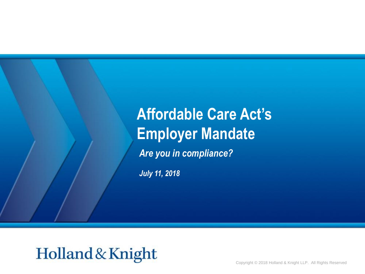# **Affordable Care Act's Employer Mandate**

*Are you in compliance?* 

*July 11, 2018*

# Holland & Knight

Copyright © 2018 Holland & Knight LLP. All Rights Reserved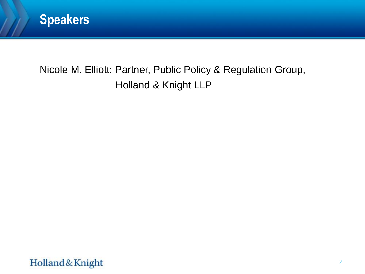

### Nicole M. Elliott: Partner, Public Policy & Regulation Group, Holland & Knight LLP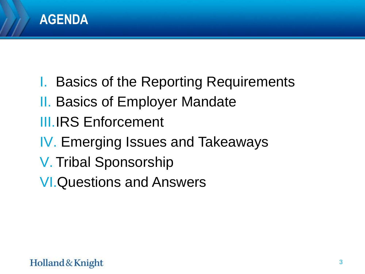

I. Basics of the Reporting Requirements **II. Basics of Employer Mandate** III.IRS Enforcement IV. Emerging Issues and Takeaways V. Tribal Sponsorship VI.Questions and Answers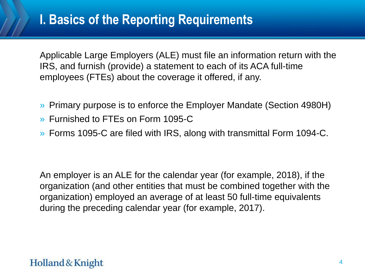Applicable Large Employers (ALE) must file an information return with the IRS, and furnish (provide) a statement to each of its ACA full-time employees (FTEs) about the coverage it offered, if any.

- » Primary purpose is to enforce the Employer Mandate (Section 4980H)
- » Furnished to FTEs on Form 1095-C
- » Forms 1095-C are filed with IRS, along with transmittal Form 1094-C.

An employer is an ALE for the calendar year (for example, 2018), if the organization (and other entities that must be combined together with the organization) employed an average of at least 50 full-time equivalents during the preceding calendar year (for example, 2017).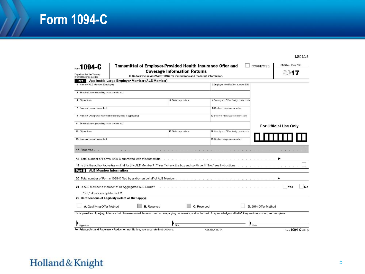

 $\frac{1}{2}$ 

| 1094-6                                          |                                                             | Transmittal of Employer-Provided Health Insurance Offer and                                                                     |                      |                                                                                                                                                                                      | CORRECTED           | OMB No. 1545-2251 |  |  |  |  |
|-------------------------------------------------|-------------------------------------------------------------|---------------------------------------------------------------------------------------------------------------------------------|----------------------|--------------------------------------------------------------------------------------------------------------------------------------------------------------------------------------|---------------------|-------------------|--|--|--|--|
| Department of the Treasury                      |                                                             |                                                                                                                                 |                      |                                                                                                                                                                                      |                     |                   |  |  |  |  |
| Internal Revenue Service                        |                                                             | Go to www.irs.gov/Form1094C for instructions and the latest information.                                                        |                      |                                                                                                                                                                                      |                     |                   |  |  |  |  |
| Part I                                          | Applicable Large Employer Member (ALE Member)               |                                                                                                                                 |                      |                                                                                                                                                                                      |                     |                   |  |  |  |  |
| 1 Name of ALE Member (Employer)                 |                                                             |                                                                                                                                 |                      | 2 Employer identification number (EIN)                                                                                                                                               |                     |                   |  |  |  |  |
| 3 Street address (including room or suite no.)  |                                                             |                                                                                                                                 |                      |                                                                                                                                                                                      |                     |                   |  |  |  |  |
| 4 City or town                                  |                                                             |                                                                                                                                 | 5 State or province  | 6 Country and ZIP or foreign postal code                                                                                                                                             |                     |                   |  |  |  |  |
| 7 Name of person to contact                     |                                                             |                                                                                                                                 |                      | 8 Contact telephone number                                                                                                                                                           |                     |                   |  |  |  |  |
|                                                 | 9 Name of Designated Government Entity (only if applicable) |                                                                                                                                 |                      | 10 Employer identification number (EIN)                                                                                                                                              |                     |                   |  |  |  |  |
| 11 Street address (including room or suite no.) |                                                             |                                                                                                                                 |                      | <b>For Official Use Only</b>                                                                                                                                                         |                     |                   |  |  |  |  |
| 12 City or town                                 |                                                             |                                                                                                                                 | 13 State or province | 14 Country and ZIP or foreign postal code                                                                                                                                            |                     |                   |  |  |  |  |
| 15 Name of person to contact                    |                                                             |                                                                                                                                 |                      | 16 Contact telephone number                                                                                                                                                          |                     |                   |  |  |  |  |
| 17 Reserved.                                    |                                                             |                                                                                                                                 |                      |                                                                                                                                                                                      |                     |                   |  |  |  |  |
|                                                 |                                                             |                                                                                                                                 |                      |                                                                                                                                                                                      |                     |                   |  |  |  |  |
|                                                 |                                                             | 19 Is this the authoritative transmittal for this ALE Member? If "Yes," check the box and continue. If "No," see instructions . |                      |                                                                                                                                                                                      |                     |                   |  |  |  |  |
| Part II                                         | <b>ALE Member Information</b>                               |                                                                                                                                 |                      |                                                                                                                                                                                      |                     |                   |  |  |  |  |
|                                                 |                                                             | 20 Total number of Forms 1095-C filed by and/or on behalf of ALE Member                                                         |                      |                                                                                                                                                                                      |                     |                   |  |  |  |  |
|                                                 | 21 Is ALE Member a member of an Aggregated ALE Group?       |                                                                                                                                 |                      |                                                                                                                                                                                      |                     | No                |  |  |  |  |
| If "No," do not complete Part IV.               |                                                             |                                                                                                                                 |                      |                                                                                                                                                                                      |                     |                   |  |  |  |  |
|                                                 | 22 Certifications of Eligibility (select all that apply):   |                                                                                                                                 |                      |                                                                                                                                                                                      |                     |                   |  |  |  |  |
| A. Qualifying Offer Method                      |                                                             | <b>B.</b> Reserved                                                                                                              | C. Reserved          |                                                                                                                                                                                      | D. 98% Offer Method |                   |  |  |  |  |
|                                                 |                                                             |                                                                                                                                 |                      | Under penalties of perjury, I declare that I have examined this return and accompanying documents, and to the best of my knowledge and belief, they are true, correct, and complete. |                     |                   |  |  |  |  |
|                                                 |                                                             |                                                                                                                                 | Title                |                                                                                                                                                                                      |                     |                   |  |  |  |  |
| Signature                                       |                                                             |                                                                                                                                 |                      |                                                                                                                                                                                      | Date                |                   |  |  |  |  |

150118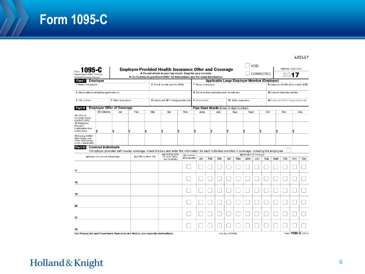

| <b>LOO117</b> |  |
|---------------|--|

|                                                                                                                                                                                                        |                                                           |    | <b>Employer-Provided Health Insurance Offer and Coverage</b> |                                          |  |                                                                                                                                                       |                                         |                                                          |     |     |                 |             | VOID                        |                                           |      | OMB No. 1545-2251 |     |                |                    |
|--------------------------------------------------------------------------------------------------------------------------------------------------------------------------------------------------------|-----------------------------------------------------------|----|--------------------------------------------------------------|------------------------------------------|--|-------------------------------------------------------------------------------------------------------------------------------------------------------|-----------------------------------------|----------------------------------------------------------|-----|-----|-----------------|-------------|-----------------------------|-------------------------------------------|------|-------------------|-----|----------------|--------------------|
| Form<br>Do not attach to your tax return. Keep for your records.<br>Department of the Treasury<br>Go to www.irs.gov/Form1095C for instructions and the latest information.<br>Internal Revenue Service |                                                           |    |                                                              |                                          |  |                                                                                                                                                       |                                         |                                                          |     |     | CORRECTED       |             |                             |                                           | 2017 |                   |     |                |                    |
| Part Employee                                                                                                                                                                                          |                                                           |    |                                                              |                                          |  |                                                                                                                                                       |                                         |                                                          |     |     |                 |             |                             |                                           |      |                   |     |                |                    |
| 1 Name of employee<br>2 Social security number (SSN)                                                                                                                                                   |                                                           |    |                                                              |                                          |  | Applicable Large Employer Member (Employer)<br>7 Name of employer<br>8 Employer identification number (EIN)                                           |                                         |                                                          |     |     |                 |             |                             |                                           |      |                   |     |                |                    |
| 3 Street address (including apartment no.)                                                                                                                                                             |                                                           |    |                                                              |                                          |  | 9 Street address (including room or suite no.)                                                                                                        |                                         |                                                          |     |     |                 |             | 10 Contact telephone number |                                           |      |                   |     |                |                    |
| 5 State or province<br>4 City or town                                                                                                                                                                  |                                                           |    |                                                              | 6 Country and ZIP or foreign postal code |  |                                                                                                                                                       | 11 City or town<br>12 State or province |                                                          |     |     |                 |             |                             | 13 Country and ZIP or foreign postal code |      |                   |     |                |                    |
| Part II                                                                                                                                                                                                |                                                           |    |                                                              |                                          |  |                                                                                                                                                       |                                         |                                                          |     |     |                 |             |                             |                                           |      |                   |     |                |                    |
|                                                                                                                                                                                                        | <b>Employee Offer of Coverage</b><br>All 12 Months<br>Jan |    |                                                              | Mar<br>Feb                               |  | May<br>Apr                                                                                                                                            |                                         | Plan Start Month (Enter 2-digit number):<br>June<br>July |     |     |                 | Aug<br>Sept |                             |                                           | Oct  |                   | Nov | Dec            |                    |
| 14 Offer of<br>Coverage (enter<br>required code)                                                                                                                                                       |                                                           |    |                                                              |                                          |  |                                                                                                                                                       |                                         |                                                          |     |     |                 |             |                             |                                           |      |                   |     |                |                    |
| 15 Employee<br>Required<br>Contribution (see<br>instructions)                                                                                                                                          | $\frac{4}{3}$                                             | \$ |                                                              | $\mathfrak{F}$                           |  | \$                                                                                                                                                    | 1\$                                     | \$                                                       | \$  |     | \$              |             | \$                          | 1\$                                       |      | \$                |     | $\mathfrak{F}$ |                    |
| 16 Section 4980H<br>Safe Harbor and<br>Other Relief (enter<br>code, if applicable)                                                                                                                     |                                                           |    |                                                              |                                          |  |                                                                                                                                                       |                                         |                                                          |     |     |                 |             |                             |                                           |      |                   |     |                |                    |
| Part III                                                                                                                                                                                               | <b>Covered Individuals</b>                                |    |                                                              |                                          |  |                                                                                                                                                       |                                         |                                                          |     |     |                 |             |                             |                                           |      |                   |     |                |                    |
|                                                                                                                                                                                                        |                                                           |    |                                                              |                                          |  | If Employer provided self-insured coverage, check the box and enter the information for each individual enrolled in coverage, including the employee. |                                         |                                                          |     |     |                 |             |                             |                                           |      |                   |     |                |                    |
| (a) Name of covered individual(s)                                                                                                                                                                      |                                                           |    | (c) DOB (If SSN<br>(b) SSN or other TIN<br>or other TIN is   |                                          |  | (d) Covered<br>all 12 months                                                                                                                          | (e) Months of Coverage                  |                                                          |     |     |                 |             |                             |                                           |      |                   |     |                |                    |
|                                                                                                                                                                                                        |                                                           |    |                                                              |                                          |  | not available)                                                                                                                                        |                                         | Jan                                                      | Feb | Mar | Apr             | May         | June                        | July                                      | Aug  | Sept              | Oct | Nov            | Dec                |
| 17                                                                                                                                                                                                     |                                                           |    |                                                              |                                          |  |                                                                                                                                                       |                                         |                                                          |     |     |                 |             |                             |                                           |      |                   |     |                |                    |
| 18                                                                                                                                                                                                     |                                                           |    |                                                              |                                          |  |                                                                                                                                                       |                                         |                                                          |     |     |                 |             |                             |                                           |      |                   |     |                |                    |
|                                                                                                                                                                                                        |                                                           |    |                                                              |                                          |  |                                                                                                                                                       |                                         |                                                          |     |     |                 |             |                             |                                           |      |                   |     |                |                    |
| 19                                                                                                                                                                                                     |                                                           |    |                                                              |                                          |  |                                                                                                                                                       |                                         |                                                          |     |     |                 |             |                             |                                           |      |                   |     |                |                    |
|                                                                                                                                                                                                        |                                                           |    |                                                              |                                          |  |                                                                                                                                                       |                                         |                                                          |     |     |                 |             |                             |                                           |      |                   |     |                |                    |
| 20                                                                                                                                                                                                     |                                                           |    |                                                              |                                          |  |                                                                                                                                                       |                                         |                                                          |     |     |                 |             |                             |                                           |      |                   |     |                |                    |
| 21                                                                                                                                                                                                     |                                                           |    |                                                              |                                          |  |                                                                                                                                                       |                                         |                                                          |     |     |                 |             |                             |                                           |      |                   |     |                |                    |
|                                                                                                                                                                                                        |                                                           |    |                                                              |                                          |  |                                                                                                                                                       |                                         |                                                          |     |     |                 |             |                             |                                           |      |                   |     |                |                    |
| 22                                                                                                                                                                                                     |                                                           |    |                                                              |                                          |  |                                                                                                                                                       |                                         |                                                          |     |     |                 |             |                             |                                           |      |                   |     |                |                    |
| For Privacy Act and Paperwork Reduction Act Notice, see separate instructions.                                                                                                                         |                                                           |    |                                                              |                                          |  |                                                                                                                                                       |                                         |                                                          |     |     | Cat. No. 60705M |             |                             |                                           |      |                   |     |                | Form 1095-C (2017) |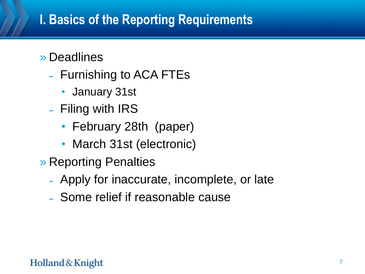# **I. Basics of the Reporting Requirements**

### » Deadlines

- Furnishing to ACA FTEs
	- January 31st
- Filing with IRS
	- February 28th (paper)
	- March 31st (electronic)
- » Reporting Penalties
	- Apply for inaccurate, incomplete, or late
	- ˗ Some relief if reasonable cause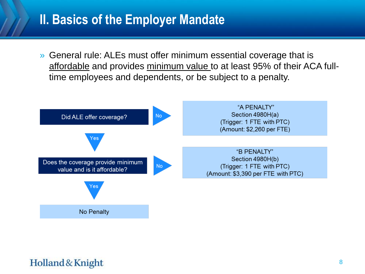### **II. Basics of the Employer Mandate**

» General rule: ALEs must offer minimum essential coverage that is affordable and provides minimum value to at least 95% of their ACA fulltime employees and dependents, or be subject to a penalty.

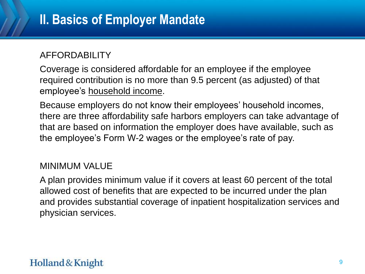#### AFFORDABILITY

Coverage is considered affordable for an employee if the employee required contribution is no more than 9.5 percent (as adjusted) of that employee's household income.

Because employers do not know their employees' household incomes, there are three affordability safe harbors employers can take advantage of that are based on information the employer does have available, such as the employee's Form W-2 wages or the employee's rate of pay.

#### MINIMUM VALUE

A plan provides minimum value if it covers at least 60 percent of the total allowed cost of benefits that are expected to be incurred under the plan and provides substantial coverage of inpatient hospitalization services and physician services.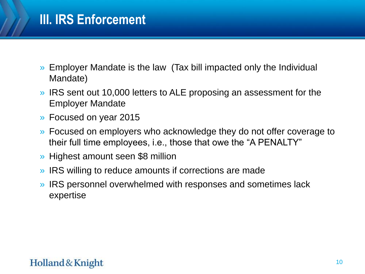## **III. IRS Enforcement**

- » Employer Mandate is the law (Tax bill impacted only the Individual Mandate)
- » IRS sent out 10,000 letters to ALE proposing an assessment for the Employer Mandate
- » Focused on year 2015
- » Focused on employers who acknowledge they do not offer coverage to their full time employees, i.e., those that owe the "A PENALTY"
- » Highest amount seen \$8 million
- » IRS willing to reduce amounts if corrections are made
- » IRS personnel overwhelmed with responses and sometimes lack expertise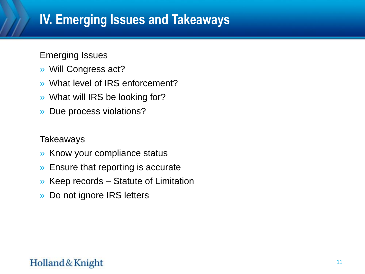# **IV. Emerging Issues and Takeaways**

#### Emerging Issues

- » Will Congress act?
- » What level of IRS enforcement?
- » What will IRS be looking for?
- » Due process violations?

#### **Takeaways**

- » Know your compliance status
- » Ensure that reporting is accurate
- » Keep records Statute of Limitation
- » Do not ignore IRS letters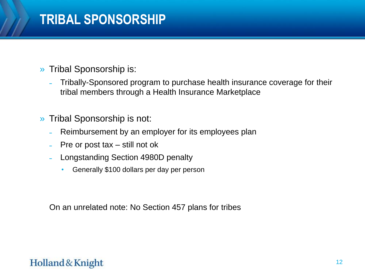## **TRIBAL SPONSORSHIP**

- » Tribal Sponsorship is:
	- ˗ Tribally-Sponsored program to purchase health insurance coverage for their tribal members through a Health Insurance Marketplace
- » Tribal Sponsorship is not:
	- ˗ Reimbursement by an employer for its employees plan
	- ˗ Pre or post tax still not ok
	- ˗ Longstanding Section 4980D penalty
		- Generally \$100 dollars per day per person

On an unrelated note: No Section 457 plans for tribes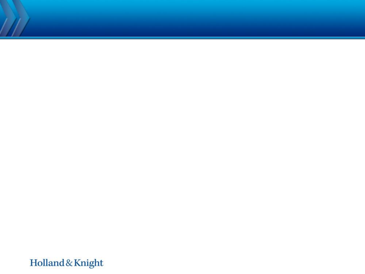Holland & Knight

1